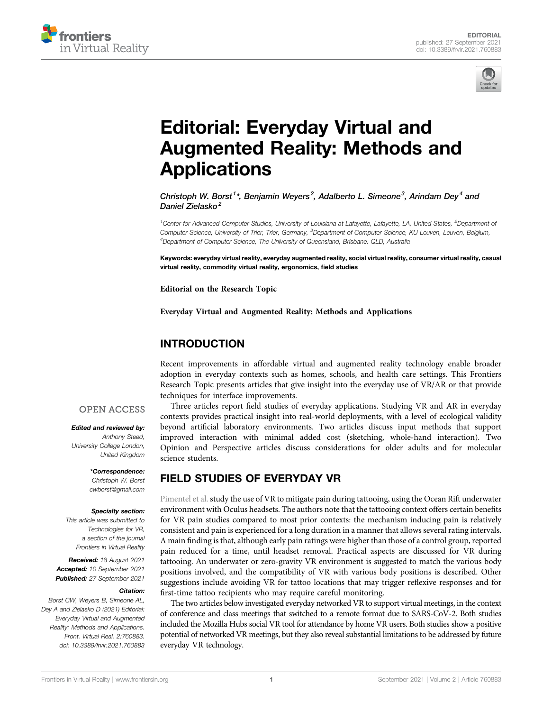



# [Editorial: Everyday Virtual and](https://www.frontiersin.org/articles/10.3389/frvir.2021.760883/full) [Augmented Reality: Methods and](https://www.frontiersin.org/articles/10.3389/frvir.2021.760883/full) **[Applications](https://www.frontiersin.org/articles/10.3389/frvir.2021.760883/full)**

Christoph W. Borst<sup>1\*</sup>, Beniamin Wevers<sup>2</sup>, Adalberto L. Simeone<sup>3</sup>, Arindam Dev<sup>4</sup> and Daniel Zielasko<sup>2</sup>

<sup>1</sup>Center for Advanced Computer Studies, University of Louisiana at Lafayette, Lafayette, LA, United States, <sup>2</sup>Department of Computer Science, University of Trier, Trier, Germany, <sup>3</sup>Department of Computer Science, KU Leuven, Leuven, Belgium, <sup>4</sup>Department of Computer Science, The University of Queensland, Brisbane, QLD, Australia

Keywords: everyday virtual reality, everyday augmented reality, social virtual reality, consumer virtual reality, casual virtual reality, commodity virtual reality, ergonomics, field studies

Editorial on the Research Topic

[Everyday Virtual and Augmented Reality: Methods and Applications](https://www.frontiersin.org/researchtopic/15311)

### INTRODUCTION

Recent improvements in affordable virtual and augmented reality technology enable broader adoption in everyday contexts such as homes, schools, and health care settings. This Frontiers Research Topic presents articles that give insight into the everyday use of VR/AR or that provide techniques for interface improvements.

### **OPEN ACCESS**

#### Edited and reviewed by:

Anthony Steed, University College London, United Kingdom

> \*Correspondence: Christoph W. Borst [cwborst@gmail.com](mailto:cwborst@gmail.com)

#### Specialty section:

This article was submitted to Technologies for VR, a section of the journal Frontiers in Virtual Reality

Received: 18 August 2021 Accepted: 10 September 2021 Published: 27 September 2021

#### Citation:

Borst CW, Weyers B, Simeone AL, Dey A and Zielasko D (2021) Editorial: Everyday Virtual and Augmented Reality: Methods and Applications. Front. Virtual Real. 2:760883. doi: [10.3389/frvir.2021.760883](https://doi.org/10.3389/frvir.2021.760883)

Three articles report field studies of everyday applications. Studying VR and AR in everyday contexts provides practical insight into real-world deployments, with a level of ecological validity beyond artificial laboratory environments. Two articles discuss input methods that support improved interaction with minimal added cost (sketching, whole-hand interaction). Two Opinion and Perspective articles discuss considerations for older adults and for molecular science students.

## FIELD STUDIES OF EVERYDAY VR

[Pimentel et al.](https://doi.org/10.3389/frvir.2021.643938) study the use of VR to mitigate pain during tattooing, using the Ocean Rift underwater environment with Oculus headsets. The authors note that the tattooing context offers certain benefits for VR pain studies compared to most prior contexts: the mechanism inducing pain is relatively consistent and pain is experienced for a long duration in a manner that allows several rating intervals. A main finding is that, although early pain ratings were higher than those of a control group, reported pain reduced for a time, until headset removal. Practical aspects are discussed for VR during tattooing. An underwater or zero-gravity VR environment is suggested to match the various body positions involved, and the compatibility of VR with various body positions is described. Other suggestions include avoiding VR for tattoo locations that may trigger reflexive responses and for first-time tattoo recipients who may require careful monitoring.

The two articles below investigated everyday networked VR to support virtual meetings, in the context of conference and class meetings that switched to a remote format due to SARS-CoV-2. Both studies included the Mozilla Hubs social VR tool for attendance by home VR users. Both studies show a positive potential of networked VR meetings, but they also reveal substantial limitations to be addressed by future everyday VR technology.